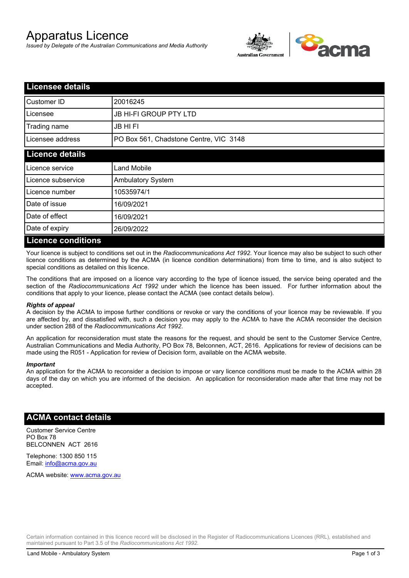# Apparatus Licence

*Issued by Delegate of the Australian Communications and Media Authority*



| <b>Licensee details</b>   |                                        |  |
|---------------------------|----------------------------------------|--|
| Customer ID               | 20016245                               |  |
| Licensee                  | <b>JB HI-FI GROUP PTY LTD</b>          |  |
| Trading name              | <b>JB HIFI</b>                         |  |
| Licensee address          | PO Box 561, Chadstone Centre, VIC 3148 |  |
| <b>Licence details</b>    |                                        |  |
| Licence service           | <b>Land Mobile</b>                     |  |
| Licence subservice        | <b>Ambulatory System</b>               |  |
| Licence number            | 10535974/1                             |  |
| Date of issue             | 16/09/2021                             |  |
| Date of effect            | 16/09/2021                             |  |
| Date of expiry            | 26/09/2022                             |  |
| <b>Licence conditions</b> |                                        |  |

Your licence is subject to conditions set out in the *Radiocommunications Act 1992*. Your licence may also be subject to such other licence conditions as determined by the ACMA (in licence condition determinations) from time to time, and is also subject to special conditions as detailed on this licence.

The conditions that are imposed on a licence vary according to the type of licence issued, the service being operated and the section of the *Radiocommunications Act 1992* under which the licence has been issued. For further information about the conditions that apply to your licence, please contact the ACMA (see contact details below).

### *Rights of appeal*

A decision by the ACMA to impose further conditions or revoke or vary the conditions of your licence may be reviewable. If you are affected by, and dissatisfied with, such a decision you may apply to the ACMA to have the ACMA reconsider the decision under section 288 of the *Radiocommunications Act 1992*.

An application for reconsideration must state the reasons for the request, and should be sent to the Customer Service Centre, Australian Communications and Media Authority, PO Box 78, Belconnen, ACT, 2616. Applications for review of decisions can be made using the R051 - Application for review of Decision form, available on the ACMA website.

#### *Important*

An application for the ACMA to reconsider a decision to impose or vary licence conditions must be made to the ACMA within 28 days of the day on which you are informed of the decision. An application for reconsideration made after that time may not be accepted.

## **ACMA contact details**

Customer Service Centre PO Box 78 BELCONNEN ACT 2616

Telephone: 1300 850 115 Email: info@acma.gov.au

ACMA website: www.acma.gov.au

Certain information contained in this licence record will be disclosed in the Register of Radiocommunications Licences (RRL), established and maintained pursuant to Part 3.5 of the *Radiocommunications Act 1992.*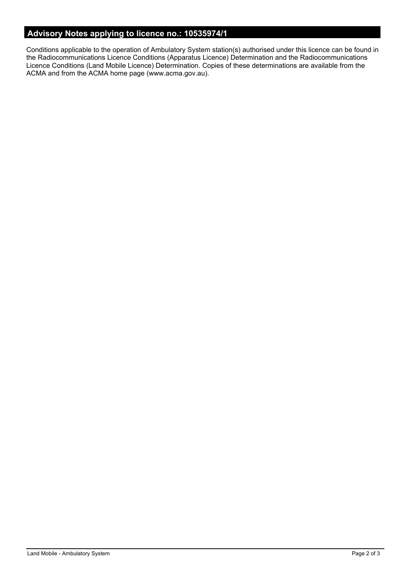# **Advisory Notes applying to licence no.: 10535974/1**

Conditions applicable to the operation of Ambulatory System station(s) authorised under this licence can be found in the Radiocommunications Licence Conditions (Apparatus Licence) Determination and the Radiocommunications Licence Conditions (Land Mobile Licence) Determination. Copies of these determinations are available from the ACMA and from the ACMA home page (www.acma.gov.au).